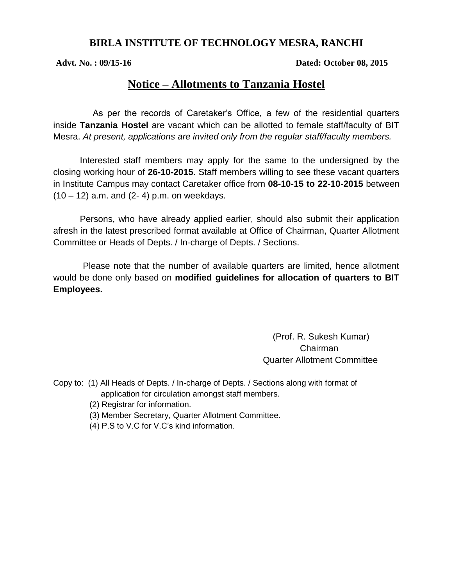### **BIRLA INSTITUTE OF TECHNOLOGY MESRA, RANCHI**

**Advt. No. : 09/15-16**  Dated: October 08, 2015

# **Notice – Allotments to Tanzania Hostel**

 As per the records of Caretaker's Office, a few of the residential quarters inside **Tanzania Hostel** are vacant which can be allotted to female staff/faculty of BIT Mesra. *At present, applications are invited only from the regular staff/faculty members.*

Interested staff members may apply for the same to the undersigned by the closing working hour of **26-10-2015**. Staff members willing to see these vacant quarters in Institute Campus may contact Caretaker office from **08-10-15 to 22-10-2015** between  $(10 - 12)$  a.m. and  $(2 - 4)$  p.m. on weekdays.

Persons, who have already applied earlier, should also submit their application afresh in the latest prescribed format available at Office of Chairman, Quarter Allotment Committee or Heads of Depts. / In-charge of Depts. / Sections.

 Please note that the number of available quarters are limited, hence allotment would be done only based on **modified guidelines for allocation of quarters to BIT Employees.** 

> (Prof. R. Sukesh Kumar) Chairman Quarter Allotment Committee

- Copy to: (1) All Heads of Depts. / In-charge of Depts. / Sections along with format of application for circulation amongst staff members.
	- (2) Registrar for information.
	- (3) Member Secretary, Quarter Allotment Committee.
	- (4) P.S to V.C for V.C's kind information.